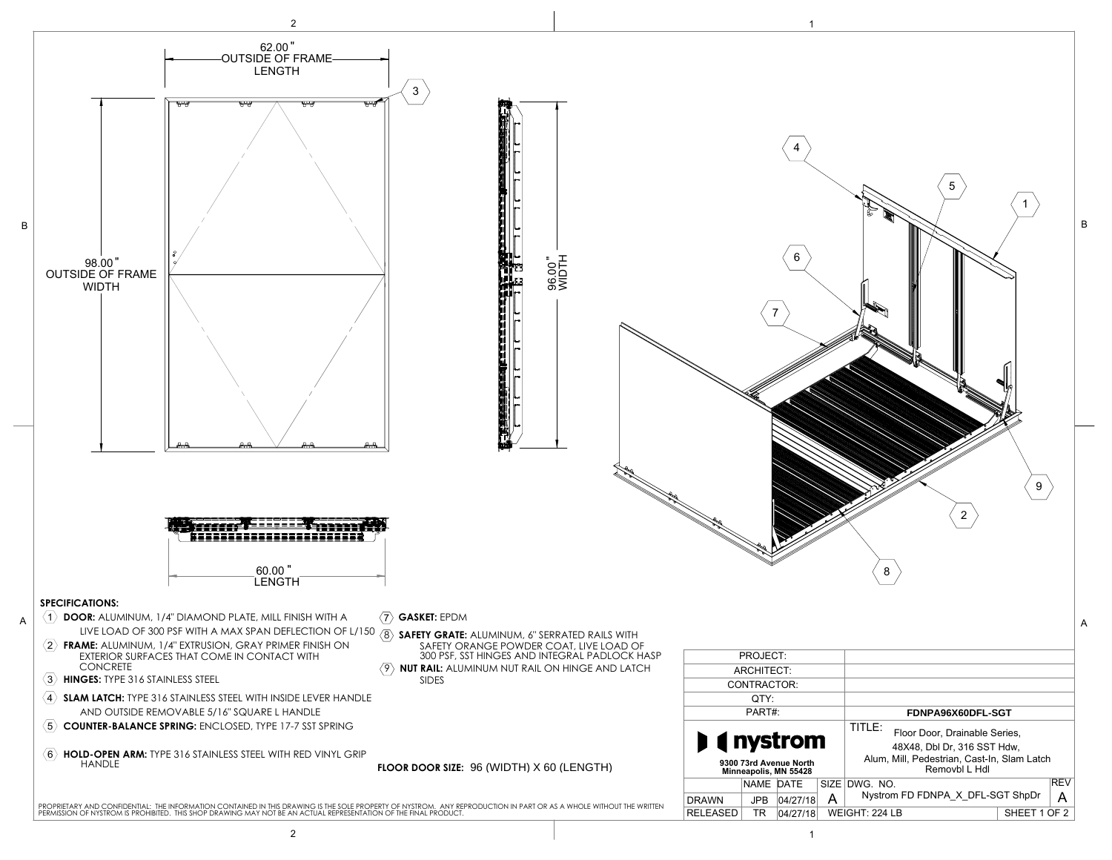98.00

60.00

FDNPA96X60DFL-SGT

96.00